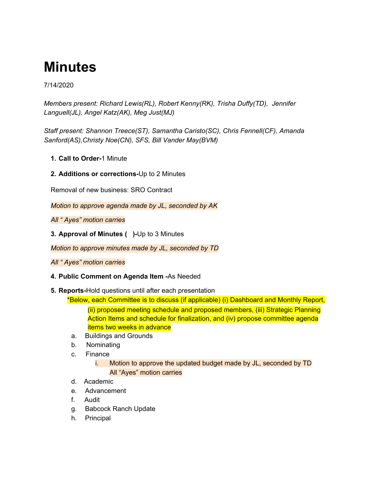# **Minutes**

## 7/14/2020

*Members present: Richard Lewis(RL), Robert Kenny(RK), Trisha Duffy(TD), Jennifer Languell(JL), Angel Katz(AK), Meg Just(MJ)*

*Staff present: Shannon Treece(ST), Samantha Caristo(SC), Chris Fennell(CF), Amanda Sanford(AS),Christy Noe(CN), SFS, Bill Vander May(BVM)*

- **1. Call to Order-**1 Minute
- **2. Additions or corrections-**Up to 2 Minutes

Removal of new business: SRO Contract

*Motion to approve agenda made by JL, seconded by AK*

*All " Ayes" motion carries*

**3. Approval of Minutes ( )-**Up to 3 Minutes

*Motion to approve minutes made by JL, seconded by TD*

*All " Ayes" motion carries*

- **4. Public Comment on Agenda Item -**As Needed
- **5. Reports-**Hold questions until after each presentation

\*Below, each Committee is to discuss (if applicable) (i) Dashboard and Monthly Report,

(ii) proposed meeting schedule and proposed members, (iii) Strategic Planning Action Items and schedule for finalization, and (iv) propose committee agenda items two weeks in advance

- a. Buildings and Grounds
- b. Nominating
- c. Finance
	- i. Motion to approve the updated budget made by JL, seconded by TD All "Ayes" motion carries
- d. Academic
- e. Advancement
- f. Audit
- g. Babcock Ranch Update
- h. Principal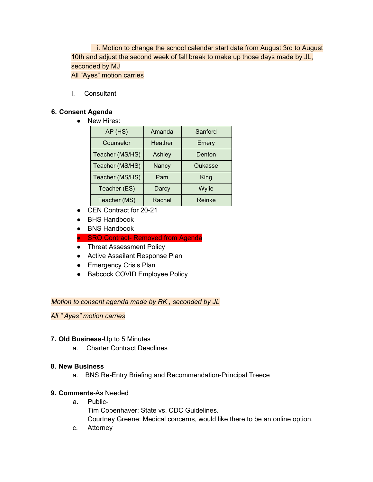i. Motion to change the school calendar start date from August 3rd to August 10th and adjust the second week of fall break to make up those days made by JL, seconded by MJ

All "Ayes" motion carries

I. Consultant

#### **6. Consent Agenda**

• New Hires:

| AP (HS)         | Amanda  | Sanford |
|-----------------|---------|---------|
| Counselor       | Heather | Emery   |
| Teacher (MS/HS) | Ashley  | Denton  |
| Teacher (MS/HS) | Nancy   | Oukasse |
| Teacher (MS/HS) | Pam     | King    |
| Teacher (ES)    | Darcy   | Wylie   |
| Teacher (MS)    | Rachel  | Reinke  |

- CEN Contract for 20-21
- BHS Handbook
- BNS Handbook
- SRO Contract- Removed from Agenda
- Threat Assessment Policy
- Active Assailant Response Plan
- Emergency Crisis Plan
- Babcock COVID Employee Policy

*Motion to consent agenda made by RK , seconded by JL*

*All " Ayes" motion carries*

#### **7. Old Business-**Up to 5 Minutes

a. Charter Contract Deadlines

## **8. New Business**

a. BNS Re-Entry Briefing and Recommendation-Principal Treece

### **9. Comments-**As Needed

- a. Public-Tim Copenhaver: State vs. CDC Guidelines. Courtney Greene: Medical concerns, would like there to be an online option.
- c. Attorney